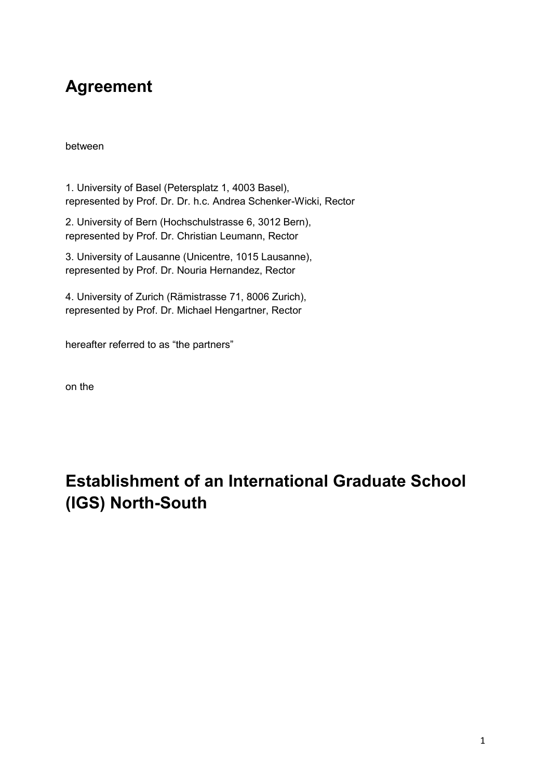## **Agreement**

between

1. University of Basel (Petersplatz 1, 4003 Basel), represented by Prof. Dr. Dr. h.c. Andrea Schenker-Wicki, Rector

2. University of Bern (Hochschulstrasse 6, 3012 Bern), represented by Prof. Dr. Christian Leumann, Rector

3. University of Lausanne (Unicentre, 1015 Lausanne), represented by Prof. Dr. Nouria Hernandez, Rector

4. University of Zurich (Rämistrasse 71, 8006 Zurich), represented by Prof. Dr. Michael Hengartner, Rector

hereafter referred to as "the partners"

on the

# **Establishment of an International Graduate School (IGS) North-South**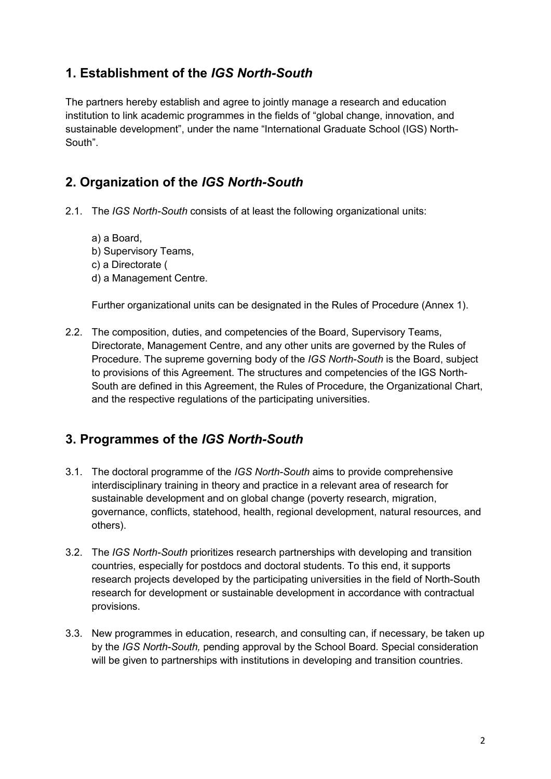#### **1. Establishment of the** *IGS North-South*

The partners hereby establish and agree to jointly manage a research and education institution to link academic programmes in the fields of "global change, innovation, and sustainable development", under the name "International Graduate School (IGS) North-South".

### **2. Organization of the** *IGS North-South*

- 2.1. The *IGS North-South* consists of at least the following organizational units:
	- a) a Board,
	- b) Supervisory Teams,
	- c) a Directorate (
	- d) a Management Centre.

Further organizational units can be designated in the Rules of Procedure (Annex 1).

2.2. The composition, duties, and competencies of the Board, Supervisory Teams, Directorate, Management Centre, and any other units are governed by the Rules of Procedure. The supreme governing body of the *IGS North-South* is the Board, subject to provisions of this Agreement. The structures and competencies of the IGS North-South are defined in this Agreement, the Rules of Procedure, the Organizational Chart, and the respective regulations of the participating universities.

#### **3. Programmes of the** *IGS North-South*

- 3.1. The doctoral programme of the *IGS North-South* aims to provide comprehensive interdisciplinary training in theory and practice in a relevant area of research for sustainable development and on global change (poverty research, migration, governance, conflicts, statehood, health, regional development, natural resources, and others).
- 3.2. The *IGS North-South* prioritizes research partnerships with developing and transition countries, especially for postdocs and doctoral students. To this end, it supports research projects developed by the participating universities in the field of North-South research for development or sustainable development in accordance with contractual provisions.
- 3.3. New programmes in education, research, and consulting can, if necessary, be taken up by the *IGS North-South,* pending approval by the School Board*.* Special consideration will be given to partnerships with institutions in developing and transition countries.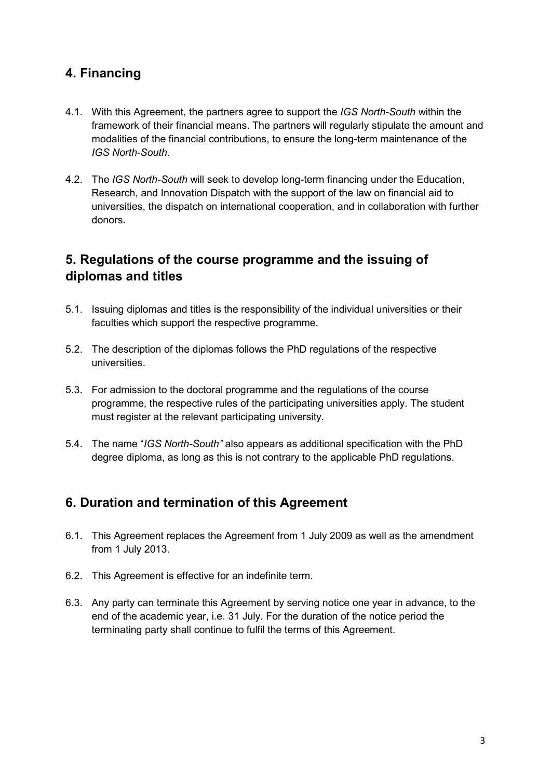#### **4. Financing**

- 4.1. With this Agreement, the partners agree to support the *IGS North-South* within the framework of their financial means. The partners will regularly stipulate the amount and modalities of the financial contributions, to ensure the long-term maintenance of the *IGS North-South*.
- 4.2. The *IGS North-South* will seek to develop long-term financing under the Education, Research, and Innovation Dispatch with the support of the law on financial aid to universities, the dispatch on international cooperation, and in collaboration with further donors.

#### **5. Regulations of the course programme and the issuing of diplomas and titles**

- 5.1. Issuing diplomas and titles is the responsibility of the individual universities or their faculties which support the respective programme.
- 5.2. The description of the diplomas follows the PhD regulations of the respective universities.
- 5.3. For admission to the doctoral programme and the regulations of the course programme, the respective rules of the participating universities apply. The student must register at the relevant participating university.
- 5.4. The name "*IGS North-South"* also appears as additional specification with the PhD degree diploma, as long as this is not contrary to the applicable PhD regulations.

#### **6. Duration and termination of this Agreement**

- 6.1. This Agreement replaces the Agreement from 1 July 2009 as well as the amendment from 1 July 2013.
- 6.2. This Agreement is effective for an indefinite term.
- 6.3. Any party can terminate this Agreement by serving notice one year in advance, to the end of the academic year, i.e. 31 July. For the duration of the notice period the terminating party shall continue to fulfil the terms of this Agreement.